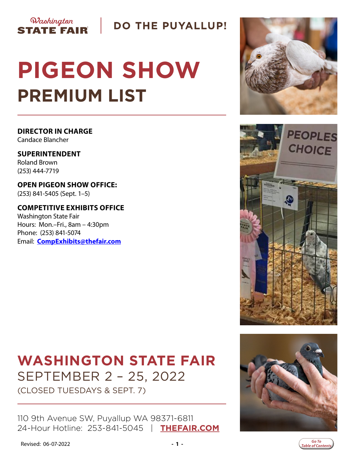

**DO THE PUYALLUP!** 

# **PIGEON SHOW PREMIUM LIST**

**DIRECTOR IN CHARGE** Candace Blancher

**SUPERINTENDENT** Roland Brown (253) 444-7719

**OPEN PIGEON SHOW OFFICE:** (253) 841-5405 (Sept. 1–5)

**COMPETITIVE EXHIBITS OFFICE** Washington State Fair Hours: Mon.–Fri., 8am – 4:30pm Phone: (253) 841-5074 Email: **[CompExhibits@thefair.com](mailto:CompExhibits%40thefair.com?subject=Washington%20State%20Fair%20Pigeon%20Show)**

# **WASHINGTON STATE FAIR** SEPTEMBER 2 – 25, 2022

(CLOSED TUESDAYS & SEPT. 7)

110 9th Avenue SW, Puyallup WA 98371-6811 24-Hour Hotline: 253-841-5045 | **[THEFAIR.COM](http://www.thefair.com)**







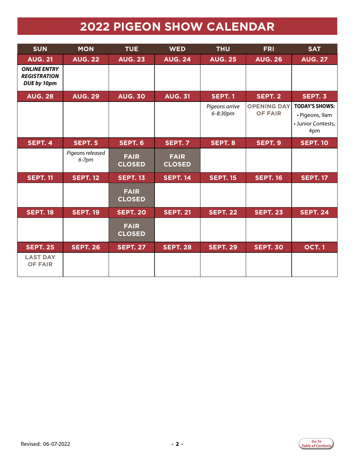# **2022 PIGEON SHOW CALENDAR**

<span id="page-1-0"></span>

| <b>SUN</b>                                                | <b>MON</b>                   | <b>TUE</b>                   | <b>WED</b>                   | <b>THU</b>                 | <b>FRI</b>                           | <b>SAT</b>                                                           |
|-----------------------------------------------------------|------------------------------|------------------------------|------------------------------|----------------------------|--------------------------------------|----------------------------------------------------------------------|
| <b>AUG. 21</b>                                            | <b>AUG. 22</b>               | <b>AUG. 23</b>               | <b>AUG. 24</b>               | <b>AUG. 25</b>             | <b>AUG. 26</b>                       | <b>AUG. 27</b>                                                       |
| <b>ONLINE ENTRY</b><br><b>REGISTRATION</b><br>DUE by 10pm |                              |                              |                              |                            |                                      |                                                                      |
| <b>AUG. 28</b>                                            | <b>AUG. 29</b>               | <b>AUG. 30</b>               | <b>AUG. 31</b>               | <b>SEPT. 1</b>             | SEPT. 2                              | SEPT. 3                                                              |
|                                                           |                              |                              |                              | Pigeons arrive<br>6-8:30pm | <b>OPENING DAY</b><br><b>OF FAIR</b> | <b>TODAY'S SHOWS:</b><br>· Pigeons, 9am<br>• Junior Contests,<br>4pm |
| SEPT. 4                                                   | <b>SEPT. 5</b>               | SEPT. 6                      | SEPT. 7                      | SEPT. 8                    | SEPT. 9                              | <b>SEPT. 10</b>                                                      |
|                                                           | Pigeons released<br>$6-7$ pm | <b>FAIR</b><br><b>CLOSED</b> | <b>FAIR</b><br><b>CLOSED</b> |                            |                                      |                                                                      |
| <b>SEPT. 11</b>                                           | <b>SEPT. 12</b>              | <b>SEPT. 13</b>              | <b>SEPT. 14</b>              | <b>SEPT. 15</b>            | <b>SEPT. 16</b>                      | <b>SEPT. 17</b>                                                      |
|                                                           |                              | <b>FAIR</b><br><b>CLOSED</b> |                              |                            |                                      |                                                                      |
| <b>SEPT. 18</b>                                           | <b>SEPT. 19</b>              | <b>SEPT. 20</b>              | <b>SEPT. 21</b>              | <b>SEPT. 22</b>            | <b>SEPT. 23</b>                      | <b>SEPT. 24</b>                                                      |
|                                                           |                              | <b>FAIR</b><br><b>CLOSED</b> |                              |                            |                                      |                                                                      |
| <b>SEPT. 25</b>                                           | <b>SEPT. 26</b>              | <b>SEPT. 27</b>              | <b>SEPT. 28</b>              | <b>SEPT. 29</b>            | <b>SEPT. 30</b>                      | <b>OCT.1</b>                                                         |
| <b>LAST DAY</b><br><b>OF FAIR</b>                         |                              |                              |                              |                            |                                      |                                                                      |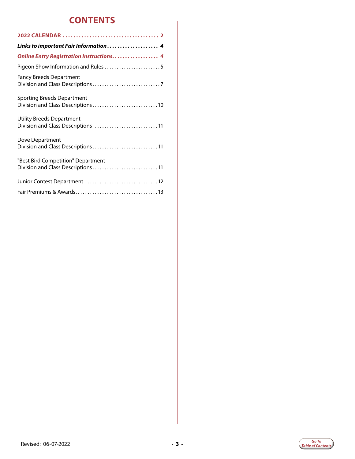### **CONTENTS**

| Links to important Fair Information 4                                    |
|--------------------------------------------------------------------------|
| Online Entry Registration Instructions 4                                 |
| Pigeon Show Information and Rules 5                                      |
| <b>Fancy Breeds Department</b>                                           |
| Sporting Breeds Department<br>Division and Class Descriptions10          |
| <b>Utility Breeds Department</b><br>Division and Class Descriptions  11  |
| Dove Department<br>Division and Class Descriptions 11                    |
| "Best Bird Competition" Department<br>Division and Class Descriptions 11 |
| Junior Contest Department 12                                             |
|                                                                          |

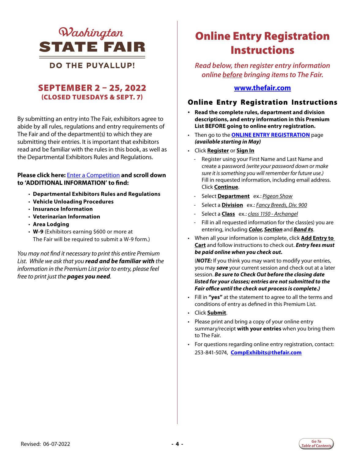

### <span id="page-3-0"></span>**DO THE PUYALLUP!**

### SEPTEMBER 2 – 25, 2022 (CLOSED TUESDAYS & SEPT. 7)

By submitting an entry into The Fair, exhibitors agree to abide by all rules, regulations and entry requirements of The Fair and of the department(s) to which they are submitting their entries. It is important that exhibitors read and be familiar with the rules in this book, as well as the Departmental Exhibitors Rules and Regulations.

#### **Please click here:** [Enter a Competition](https://www.thefair.com/get-involved/competitive-exhibits/) **and scroll down to 'ADDITIONAL INFORMATION' to find:**

- **Departmental Exhibitors Rules and Regulations**
- **Vehicle Unloading Procedures**
- **Insurance Information**
- **Veterinarian Information**
- **Area Lodging**
- **W-9** (Exhibitors earning \$600 or more at The Fair will be required to submit a W-9 form.)

*You may not find it necessary to print this entire Premium List. While we ask that you read and be familiar with the information in the Premium List prior to entry, please feel free to print just the pages you need.* 

# Online Entry Registration **Instructions**

*Read below, then register entry information online before bringing items to The Fair.* 

#### **[www.thefair.com](http://www.thefair.com)**

#### Online Entry Registration Instructions

- **Read the complete rules, department and division descriptions, and entry information in this Premium List BEFORE going to online entry registration.**
- Then go to the **[ONLINE ENTRY REGISTRATION](https://wwf.fairwire.com/)** page *(available starting in May)*
- Click **Register** or **Sign In**
	- Register using your First Name and Last Name and create a password *(write your password down or make sure it is something you will remember for future use.)* Fill in requested information, including email address. Click **Continue**.
	- Select **Department** ex.: *Pigeon Show*
	- Select a **Division** ex.: *Fancy Breeds, Div. 900*
	- Select a **Class** ex.: *class 1150 Archangel*
	- Fill in all requested information for the class(es) you are entering, including *Color, Section* and *Band #s*.
- When all your information is complete, click **Add Entry to Cart** and follow instructions to check out. *Entry fees must be paid online when you check out.*

(*NOTE:* If you think you may want to modify your entries, you may *save* your current session and check out at a later session. *Be sure to Check Out before the closing date listed for your classes; entries are not submitted to the Fair office until the check out process is complete.)*

- Fill in **"yes"** at the statement to agree to all the terms and conditions of entry as defined in this Premium List.
- Click **Submit**.
- Please print and bring a copy of your online entry summary/receipt **with your entries** when you bring them to The Fair.
- For questions regarding online entry registration, contact: 253-841-5074, **CompExhibits@thefair.com**

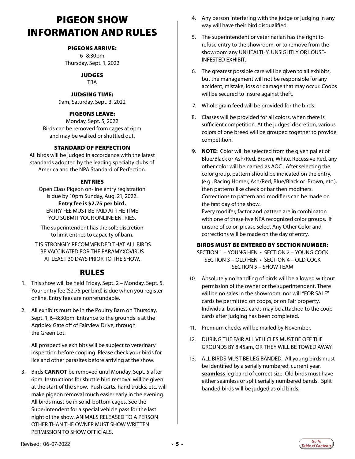### <span id="page-4-0"></span>PIGEON SHOW INFORMATION AND RULES

#### PIGEONS ARRIVE:

 6–8:30pm, Thursday, Sept. 1, 2022

**JUDGES** 

TBA

#### JUDGING TIME:

9am, Saturday, Sept. 3, 2022

#### PIGEONS LEAVE:

Monday, Sept. 5, 2022 Birds can be removed from cages at 6pm and may be walked or shuttled out.

#### STANDARD OF PERFECTION

All birds will be judged in accordance with the latest standards adopted by the leading specialty clubs of America and the NPA Standard of Perfection.

#### ENTRIES

Open Class Pigeon on-line entry registration is due by 10pm Sunday, Aug. 21, 2022. **Entry fee is \$2.75 per bird.**  ENTRY FEE MUST BE PAID AT THE TIME YOU SUBMIT YOUR ONLINE ENTRIES.

The superintendent has the sole discretion to limit entries to capacity of barn.

IT IS STRONGLY RECOMMENDED THAT ALL BIRDS BE VACCINATED FOR THE PARAMYXOVIRUS AT LEAST 30 DAYS PRIOR TO THE SHOW.

### RULES

- 1. This show will be held Friday, Sept. 2 Monday, Sept. 5. Your entry fee (\$2.75 per bird) is due when you register online. Entry fees are nonrefundable.
- 2. All exhibits must be in the Poultry Barn on Thursday, Sept. 1, 6–8:30pm. Entrance to the grounds is at the Agriplex Gate off of Fairview Drive, through the Green Lot.

 All prospective exhibits will be subject to veterinary inspection before cooping. Please check your birds for lice and other parasites before arriving at the show.

3. Birds **CANNOT** be removed until Monday, Sept. 5 after 6pm. Instructions for shuttle bird removal will be given at the start of the show. Push carts, hand trucks, etc. will make pigeon removal much easier early in the evening. All birds must be in solid-bottom cages. See the Superintendent for a special vehicle pass for the last night of the show. ANIMALS RELEASED TO A PERSON OTHER THAN THE OWNER MUST SHOW WRITTEN PERMISSION TO SHOW OFFICIALS.

- 4. Any person interfering with the judge or judging in any way will have their bird disqualified.
- 5. The superintendent or veterinarian has the right to refuse entry to the showroom, or to remove from the showroom any UNHEALTHY, UNSIGHTLY OR LOUSE-INFESTED EXHIBIT.
- 6. The greatest possible care will be given to all exhibits, but the management will not be responsible for any accident, mistake, loss or damage that may occur. Coops will be secured to insure against theft.
- 7. Whole grain feed will be provided for the birds.
- 8. Classes will be provided for all colors, when there is sufficient competition. At the judges' discretion, various colors of one breed will be grouped together to provide competition.
- 9. **NOTE:** Color will be selected from the given pallet of Blue/Black or Ash/Red, Brown, White, Recessive Red, any other color will be named as AOC. After selecting the color group, pattern should be indicated on the entry, (e.g., Racing Homer, Ash/Red, Blue/Black or Brown, etc.), then patterns like check or bar then modifiers. Corrections to pattern and modifiers can be made on the first day of the show.

Every modifer, factor and pattern are in combinaton with one of these five NPA recognized color groups. If unsure of color, please select Any Other Color and corrections will be made on the day of entry.

#### BIRDS MUST BE ENTERED BY SECTION NUMBER:

SECTION 1 – YOUNG HEN • SECTION 2 – YOUNG COCK SECTION 3 – OLD HEN • SECTION 4 – OLD COCK SECTION 5 – SHOW TEAM

- 10. Absolutely no handling of birds will be allowed without permission of the owner or the superintendent. There will be no sales in the showroom, nor will "FOR SALE" cards be permitted on coops, or on Fair property. Individual business cards may be attached to the coop cards after judging has been completed.
- 11. Premium checks will be mailed by November.
- 12. DURING THE FAIR ALL VEHICLES MUST BE OFF THE GROUNDS BY 8:45am, OR THEY WILL BE TOWED AWAY.
- 13. ALL BIRDS MUST BE LEG BANDED. All young birds must be identified by a serially numbered, current year, **seamless** leg band of correct size. Old birds must have either seamless or split serially numbered bands. Split banded birds will be judged as old birds.

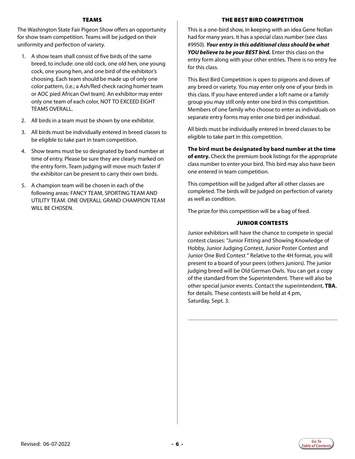#### TEAMS

The Washington State Fair Pigeon Show offers an opportunity for show team competition. Teams will be judged on their uniformity and perfection of variety.

- 1. A show team shall consist of five birds of the same breed, to include: one old cock, one old hen, one young cock, one young hen, and one bird of the exhibitor's choosing. Each team should be made up of only one color pattern, (i.e.; a Ash/Red check racing homer team or AOC pied African Owl team). An exhibitor may enter only one team of each color, NOT TO EXCEED EIGHT TEAMS OVERALL.
- 2. All birds in a team must be shown by one exhibitor.
- 3. All birds must be individually entered in breed classes to be eligible to take part in team competition.
- 4. Show teams must be so designated by band number at time of entry. Please be sure they are clearly marked on the entry form. Team judging will move much faster if the exhibitor can be present to carry their own birds.
- 5. A champion team will be chosen in each of the following areas: FANCY TEAM, SPORTING TEAM AND UTILITY TEAM. ONE OVERALL GRAND CHAMPION TEAM WILL BE CHOSEN.

#### THE BEST BIRD COMPETITION

This is a one-bird show, in keeping with an idea Gene Nollan had for many years. It has a special class number (see class #9950). *Your entry in this additional class should be what YOU believe to be your BEST bird.* Enter this class on the entry form along with your other entries. There is no entry fee for this class.

This Best Bird Competition is open to pigeons and doves of any breed or variety. You may enter only one of your birds in this class. If you have entered under a loft name or a family group you may still only enter one bird in this competition. Members of one family who choose to enter as individuals on separate entry forms may enter one bird per individual.

All birds must be individually entered in breed classes to be eligible to take part in this competition.

**The bird must be designated by band number at the time of entry.** Check the premium book listings for the appropriate class number to enter your bird. This bird may also have been one entered in team competition.

This competition will be judged after all other classes are completed. The birds will be judged on perfection of variety as well as condition.

The prize for this competition will be a bag of feed.

#### JUNIOR CONTESTS

Junior exhibitors will have the chance to compete in special contest classes: "Junior Fitting and Showing Knowledge of Hobby, Junior Judging Contest, Junior Poster Contest and Junior One Bird Contest " Relative to the 4H format, you will present to a board of your peers (others juniors). The junior judging breed will be Old German Owls. You can get a copy of the standard from the Superintendent. There will also be other special junior events. Contact the superintendent, **TBA**, for details. These contests will be held at 4 pm, Saturday, Sept. 3.

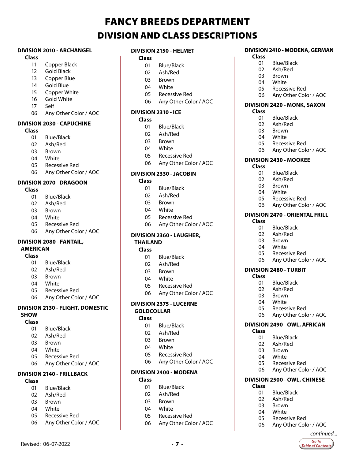# FANCY BREEDS DEPARTMENT DIVISION AND CLASS DESCRIPTIONS

#### <span id="page-6-0"></span>**DIVISION 2010 - ARCHANGEL**

#### **Class**

- Copper Black
- Gold Black
- Copper Blue
- Gold Blue
- Copper White
- Gold White
- Self
- Any Other Color / AOC

#### **DIVISION 2030 - CAPUCHINE**

- **Class**
	- Blue/Black
	- Ash/Red
	- Brown
	- White
	- Recessive Red
	- Any Other Color / AOC

#### **DIVISION 2070 - DRAGOON**

- **Class**
	- Blue/Black
	- Ash/Red
	- Brown
	- White
	- Recessive Red
	- Any Other Color / AOC

#### **DIVISION 2080 - FANTAIL, AMERICAN**

#### **Class**

- Blue/Black
- Ash/Red
- Brown
- White
- Recessive Red
- Any Other Color / AOC

#### **DIVISION 2130 - FLIGHT, DOMESTIC SHOW**

#### **Class**

- Blue/Black
- Ash/Red
- Brown
- White
- Recessive Red
- Any Other Color / AOC

#### **DIVISION 2140 - FRILLBACK**

#### **Class**

- Blue/Black
- Ash/Red
- Brown
- White
- Recessive Red
- Any Other Color / AOC

Revised: 06-07-2022 **- 7 -**

#### **DIVISION 2150 - HELMET**

#### **Class**

- Blue/Black
- Ash/Red
- Brown
- White
- Recessive Red
- Any Other Color / AOC

#### **DIVISION 2310 - ICE**

#### **Class**

- Blue/Black
- Ash/Red
- Brown
- White
- Recessive Red
- Any Other Color / AOC

#### **DIVISION 2330 - JACOBIN**

#### **Class**

- Blue/Black
- Ash/Red
- Brown
- White
- Recessive Red
- Any Other Color / AOC

#### **DIVISION 2360 - LAUGHER, THAILAND**

#### **Class**

- Blue/Black
- Ash/Red
- Brown
- White
- Recessive Red
- Any Other Color / AOC

#### **DIVISION 2375 - LUCERNE**

#### **GOLDCOLLAR Class**

- Blue/Black
- Ash/Red
- Brown
- White
- Recessive Red
- Any Other Color / AOC

### **DIVISION 2400 - MODENA**

- **Class**
	- Blue/Black
	- Ash/Red
	- Brown
	- White
	- Recessive Red
	- Any Other Color / AOC

#### **DIVISION 2410 - MODENA, GERMAN Class**

01 Blue/Black<br>02 Ash/Red Ash/Red Brown White

05 Recessive Red<br>06 Any Other Col

**DIVISION 2420 - MONK, SAXON**

Any Other Color / AOC

 Recessive Red Any Other Color / AOC **DIVISION 2470 - ORIENTAL FRILL**

 Blue/Black 02 Ash/Red<br>03 Brown 03 Brown<br>04 White **White** Recessive Red

**DIVISION 2430 - MOOKEE**

 Blue/Black Ash/Red Brown 04 White<br>05 Recess

 Blue/Black Ash/Red Brown White

Recessive Red

**DIVISION 2480 - TURBIT**

 Blue/Black Ash/Red Brown 04 White<br>05 Recess

Any Other Color / AOC

 Recessive Red Any Other Color / AOC

Any Other Color / AOC

**DIVISION 2490 - OWL, AFRICAN**

**DIVISION 2500 - OWL, CHINESE**

Any Other Color / AOC

*continued...*Go To **Table of Contents** 

 Blue/Black Ash/Red 03 Brown<br>04 White White Recessive Red

01 Blue/Black<br>02 Ash/Red Ash/Red Brown 04 White<br>05 Recess 05 Recessive Red<br>06 Any Other Col

**Class**

**Class**

**Class**

**Class**

**Class**

**Class**

Any Other Color / AOC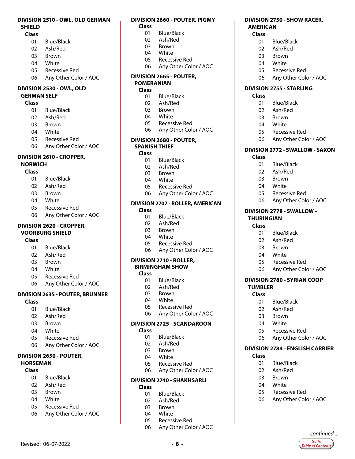#### **DIVISION 2510 - OWL, OLD GERMAN SHIELD**

#### **Class**

- Blue/Black
- Ash/Red
- Brown
- White
- Recessive Red
- Any Other Color / AOC

#### **DIVISION 2530 - OWL, OLD GERMAN SELF**

#### **Class**

- Blue/Black
- Ash/Red
- Brown
- White
- Recessive Red
- Any Other Color / AOC

#### **DIVISION 2610 - CROPPER,**

#### **NORWICH**

#### **Class**

- Blue/Black
- Ash/Red
- Brown
- White
- Recessive Red
- Any Other Color / AOC

#### **DIVISION 2620 - CROPPER,**

#### **VOORBURG SHIELD**

#### **Class**

- Blue/Black
- Ash/Red
- Brown
- White
- Recessive Red
- Any Other Color / AOC

#### **DIVISION 2635 - POUTER, BRUNNER**

#### **Class**

- Blue/Black
- Ash/Red
- Brown
- White
- Recessive Red
- Any Other Color / AOC

#### **DIVISION 2650 - POUTER, HORSEMAN**

#### **Class**

- Blue/Black
- Ash/Red
- Brown
- White
- Recessive Red
- Any Other Color / AOC

Revised: 06-07-2022 **- 8 -**

#### **DIVISION 2660 - POUTER, PIGMY**

**DIVISION 2750 - SHOW RACER,** 

 Blue/Black Ash/Red Brown White

Recessive Red

**DIVISION 2755 - STARLING**

 Blue/Black Ash/Red Brown White

Recessive Red

 Blue/Black Ash/Red Brown White

Recessive Red

**DIVISION 2778 - SWALLOW -** 

 Blue/Black Ash/Red Brown White

Recessive Red

**DIVISION 2780 - SYRIAN COOP** 

 Blue/Black Ash/Red Brown White

Recessive Red

 Blue/Black Ash/Red Brown White

Recessive Red

Any Other Color / AOC

*continued...*Go To **Table of Contents** 

 Any Other Color / AOC **DIVISION 2784 - ENGLISH CARRIER** 

Any Other Color / AOC

**THURINGIAN Class**

**TUMBLER Class**

**Class**

Any Other Color / AOC

 Any Other Color / AOC **DIVISION 2772 - SWALLOW - SAXON**

Any Other Color / AOC

**AMERICAN Class**

**Class**

**Class**

- **Class**
	- Blue/Black
	- Ash/Red
	- Brown
	- White
	- Recessive Red
	- Any Other Color / AOC

#### **DIVISION 2665 - POUTER, POMERANIAN**

#### **Class**

- Blue/Black
- Ash/Red
- Brown
- White
- Recessive Red
- Any Other Color / AOC

#### **DIVISION 2680 - POUTER, SPANISH THIEF**

#### **Class**

- Blue/Black
- Ash/Red
- Brown
- White
- Recessive Red
- Any Other Color / AOC

#### **DIVISION 2707 - ROLLER, AMERICAN**

### **Class**

- Blue/Black
- Ash/Red
- Brown
- White
- Recessive Red
- Any Other Color / AOC

#### **DIVISION 2710 - ROLLER, BIRMINGHAM SHOW**

#### **Class**

- 01 Blue/Black<br>02 Ash/Red
- Ash/Red
- Brown
- White
- Recessive Red
- Any Other Color / AOC

#### **DIVISION 2725 - SCANDAROON**

- **Class**
	- Blue/Black
	- Ash/Red
	- Brown
	- 04 White<br>05 Recess
	- Recessive Red
	- Any Other Color / AOC

### **DIVISION 2740 - SHAKHSARLI**

Recessive Red

Any Other Color / AOC

 Ash/Red Brown White

**Class** Blue/Black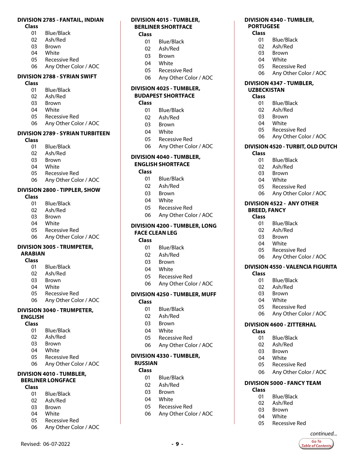#### **DIVISION 2785 - FANTAIL, INDIAN**

**Class**

- Blue/Black
- Ash/Red
- Brown
- White
- Recessive Red
- Any Other Color / AOC

#### **DIVISION 2788 - SYRIAN SWIFT**

#### **Class**

- Blue/Black
- Ash/Red
- Brown
- White
- Recessive Red
- Any Other Color / AOC

#### **DIVISION 2789 - SYRIAN TURBITEEN**

- **Class**
	- Blue/Black
	- Ash/Red
	- Brown
	- White
	- Recessive Red
	- Any Other Color / AOC

#### **DIVISION 2800 - TIPPLER, SHOW**

- **Class**
	- Blue/Black
	- 02 Ash/Red<br>03 Brown
	- **Brown**
	- White
	- Recessive Red
	- Any Other Color / AOC

#### **DIVISION 3005 - TRUMPETER, ARABIAN**

#### **Class**

- Blue/Black
- Ash/Red
- Brown
- White
- Recessive Red
- Any Other Color / AOC

#### **DIVISION 3040 - TRUMPETER, ENGLISH**

#### **Class**

- Blue/Black
- Ash/Red
- Brown
- White
- Recessive Red
- Any Other Color / AOC

#### **DIVISION 4010 - TUMBLER, BERLINER LONGFACE**

#### **Class**

- Blue/Black
- Ash/Red
- Brown
- White
- Recessive Red
- Any Other Color / AOC

Revised: 06-07-2022 **- 9 -**

#### **DIVISION 4015 - TUMBLER, BERLINER SHORTFACE Class**

- 
- Blue/Black
- Ash/Red Brown
- White
- 
- Recessive Red
- Any Other Color / AOC

**DIVISION 4340 - TUMBLER,** 

 Blue/Black Ash/Red Brown White

Recessive Red

**DIVISION 4347 - TUMBLER,** 

 Blue/Black Ash/Red Brown White

Recessive Red

 Blue/Black Ash/Red Brown White

Recessive Red

**DIVISION 4522 - ANY OTHER** 

 Blue/Black Ash/Red Brown White Recessive Red

01 Blue/Black<br>02 Ash/Red Ash/Red

Recessive Red

**DIVISION 4600 - ZITTERHAL**

 Blue/Black Ash/Red Brown White

Recessive Red

**DIVISION 5000 - FANCY TEAM**

Recessive Red

*continued...*Go To **Table of Contents** 

 Blue/Black Ash/Red Brown White

 Brown White

**BREED, FANCY Class**

**Class**

**Class**

**Class**

 Any Other Color / AOC **DIVISION 4520 - TURBIT, OLD DUTCH**

Any Other Color / AOC

 Any Other Color / AOC **DIVISION 4550 - VALENCIA FIGURITA**

Any Other Color / AOC

Any Other Color / AOC

**UZBECKISTAN Class**

**Class**

Any Other Color / AOC

**PORTUGESE Class**

#### **DIVISION 4025 - TUMBLER, BUDAPEST SHORTFACE**

- **Class**
	- Blue/Black
	- Ash/Red
	- Brown
	- White
	- Recessive Red
	- Any Other Color / AOC

#### **DIVISION 4040 - TUMBLER, ENGLISH SHORTFACE**

#### **Class**

- Blue/Black
- Ash/Red
- Brown
- White
- Recessive Red
- Any Other Color / AOC

#### **DIVISION 4200 - TUMBLER, LONG**

#### **FACE CLEAN LEG**

#### **Class**

- Blue/Black
- Ash/Red
- Brown
- White
- Recessive Red
- Any Other Color / AOC

#### **DIVISION 4250 - TUMBLER, MUFF**

- **Class**
	- Blue/Black
	- Ash/Red
	- Brown
	- White
	- Recessive Red
	- Any Other Color / AOC

#### **DIVISION 4330 - TUMBLER,**

 Blue/Black Ash/Red Brown White

Recessive Red

Any Other Color / AOC

#### **RUSSIAN**

#### **Class**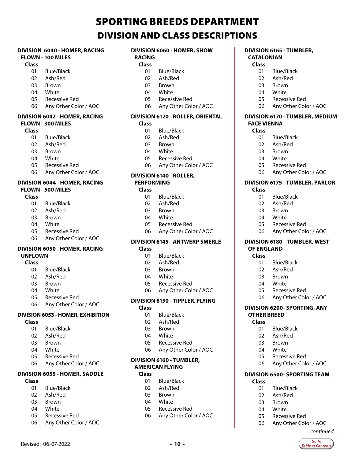# SPORTING BREEDS DEPARTMENT DIVISION AND CLASS DESCRIPTIONS

#### <span id="page-9-0"></span>**DIVISION 6040 - HOMER, RACING FLOWN - 100 MILES**

#### **Class**

- Blue/Black
- Ash/Red
- Brown
- White
- Recessive Red
- Any Other Color / AOC

#### **DIVISION 6042 - HOMER, RACING FLOWN - 300 MILES**

#### **Class**

- Blue/Black
- Ash/Red
- Brown
- White
- Recessive Red
- Any Other Color / AOC

#### **DIVISION 6044 - HOMER, RACING FLOWN - 500 MILES**

#### **Class**

- Blue/Black
- Ash/Red
- Brown
- White
- Recessive Red
- Any Other Color / AOC

#### **DIVISION 6050 - HOMER, RACING UNFLOWN**

#### **Class**

- Blue/Black
- Ash/Red
- Brown
- White
- Recessive Red
- Any Other Color / AOC

#### **DIVISION 6053 - HOMER, EXHIBITION**

- **Class**
	- Blue/Black
	- Ash/Red
	- Brown
	- White
	- Recessive Red
	- Any Other Color / AOC

#### **DIVISION 6055 - HOMER, SADDLE**

#### **Class**

- Blue/Black
- Ash/Red
- Brown
- White
- Recessive Red
- Any Other Color / AOC

Revised: 06-07-2022 **- 10 -**

#### **DIVISION 6060 - HOMER, SHOW**

#### **RACING Class**

- Blue/Black
- Ash/Red
- Brown
- White
- Recessive Red
- Any Other Color / AOC

#### **DIVISION 6120 - ROLLER, ORIENTAL**

#### **Class**

- Blue/Black
- Ash/Red
- Brown
- White
- Recessive Red
- Any Other Color / AOC

#### **DIVISION 6140 - ROLLER, PERFORMING**

#### **Class**

- Blue/Black
- Ash/Red
- Brown
- White
- Recessive Red
- Any Other Color / AOC

#### **DIVISION 6145 - ANTWERP SMERLE**

#### **Class**

- Blue/Black
- Ash/Red
- Brown
- White
- Recessive Red
- Any Other Color / AOC

#### **DIVISION 6150 - TIPPLER, FLYING**

#### **Class**

- Blue/Black
- Ash/Red
- Brown
- White
- Recessive Red
- Any Other Color / AOC

#### **DIVISION 6160 - TUMBLER, AMERICAN FLYING**

#### **Class**

- Blue/Black
- Ash/Red
- Brown
- White
- Recessive Red
- Any Other Color / AOC

#### **DIVISION 6165 - TUMBLER, CATALONIAN**

 Ash/Red Brown White

Recessive Red

 Blue/Black Ash/Red Brown White

Recessive Red

 Blue/Black Ash/Red Brown White

Recessive Red

 Blue/Black Ash/Red Brown White

Recessive Red

 Blue/Black Ash/Red Brown White

Recessive Red

 Blue/Black Ash/Red Brown White

Recessive Red

Any Other Color / AOC

*continued...*

Go To **Table of Contents** 

 Any Other Color / AOC **DIVISION 6500- SPORTING TEAM**

**DIVISION 6200- SPORTING, ANY** 

Any Other Color / AOC

 Any Other Color / AOC **DIVISION 6180 - TUMBLER, WEST** 

 Any Other Color / AOC **DIVISION 6175 - TUMBLER, PARLOR**

 Any Other Color / AOC **DIVISION 6170 - TUMBLER, MEDIUM** 

#### **Class** Blue/Black

**FACE VIENNA Class**

**Class**

**OF ENGLAND Class**

**OTHER BREED Class**

**Class**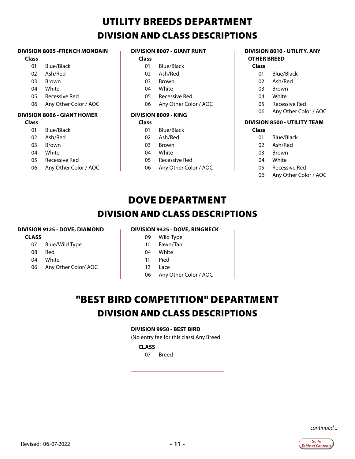# UTILITY BREEDS DEPARTMENT DIVISION AND CLASS DESCRIPTIONS

#### <span id="page-10-0"></span>**DIVISION 8005 -FRENCH MONDAIN**

#### **Class**

- 01 Blue/Black
- 02 Ash/Red
- 03 Brown
- 04 White
- 05 Recessive Red
- 06 Any Other Color / AOC

#### **DIVISION 8006 - GIANT HOMER**

#### **Class**

- 01 Blue/Black
- 02 Ash/Red
- 03 Brown
- 04 White
- 05 Recessive Red
- 06 Any Other Color / AOC

#### **DIVISION 8007 - GIANT RUNT**

#### **Class**

- 01 Blue/Black
- 02 Ash/Red
- 03 Brown
- 04 White
- 05 Recessive Red
- 06 Any Other Color / AOC

#### **DIVISION 8009 - KING**

#### **Class**

- 01 Blue/Black 02 Ash/Red
- 03 Brown
- 04 White
- 05 Recessive Red
- 06 Any Other Color / AOC

#### **DIVISION 8010 - UTILITY, ANY OTHER BREED**

#### **Class**

- 01 Blue/Black
- 02 Ash/Red
- 03 Brown
- 04 White
- 05 Recessive Red
- 06 Any Other Color / AOC

#### **DIVISION 8500 - UTILITY TEAM**

#### **Class**

- 01 Blue/Black
- 02 Ash/Red
- 03 Brown
- 04 White
- 05 Recessive Red
- 06 Any Other Color / AOC

# DOVE DEPARTMENT DIVISION AND CLASS DESCRIPTIONS

#### **DIVISION 9125 - DOVE, DIAMOND**

#### **CLASS**

- 07 Blue/Wild Type
- 08 Red
- 04 White
- 06 Any Other Color/ AOC
- **DIVISION 9425 DOVE, RINGNECK**
	- 09 Wild Type
	- 10 Fawn/Tan
	- 04 White
	- 11 Pied
	- 12 Lace
	- 06 Any Other Color / AOC

# "BEST BIRD COMPETITION" DEPARTMENT DIVISION AND CLASS DESCRIPTIONS

#### **DIVISION 9950 - BEST BIRD**

(No entry fee for this class) Any Breed

#### **CLASS**

07 Breed

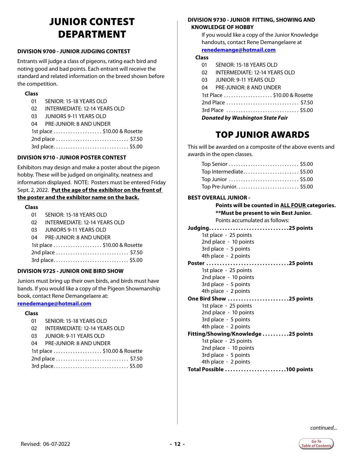# JUNIOR CONTEST DEPARTMENT

#### <span id="page-11-0"></span>**DIVISION 9700 - JUNIOR JUDGING CONTEST**

Entrants will judge a class of pigeons, rating each bird and noting good and bad points. Each entrant will receive the standard and related information on the breed shown before the competition.

#### **Class**

- 01 SENIOR: 15-18 YEARS OLD
- 02 INTERMEDIATE: 12-14 YEARS OLD
- 03 JUNIORS 9-11 YEARS OLD
- 04 PRE-JUNIOR: 8 AND UNDER

| 1st place \$10.00 & Rosette |  |
|-----------------------------|--|
| 2nd place  \$7.50           |  |
| 3rd place \$5.00            |  |

#### **DIVISION 9710 - JUNIOR POSTER CONTEST**

Exhibitors may design and make a poster about the pigeon hobby. These will be judged on originality, neatness and information displayed. NOTE: Posters must be entered Friday Sept. 2, 2022. **Put the age of the exhibitor on the front of the poster and the exhibitor name on the back.**

#### **Class**

- 01 SENIOR: 15-18 YEARS OLD
- 02 INTERMEDIATE: 12-14 YEARS OLD
- 03 JUNIORS 9-11 YEARS OLD
- 04 PRE-JUNIOR: 8 AND UNDER

| 1st place \$10.00 & Rosette |  |
|-----------------------------|--|
| 2nd place  \$7.50           |  |
| 3rd place \$5.00            |  |

#### **DIVISION 9725 - JUNIOR ONE BIRD SHOW**

Juniors must bring up their own birds, and birds must have bands. If you would like a copy of the Pigeon Showmanship book, contact Rene Demangelaere at:

#### **[renedemange@hotmail.com](mailto:renedemange%40hotmail.com?subject=Pigeon%20Show)**

#### **Class**

| 01                          | SENIOR: 15-18 YEARS OLD       |  |  |  |
|-----------------------------|-------------------------------|--|--|--|
| 02                          | INTERMEDIATE: 12-14 YEARS OLD |  |  |  |
| 03.                         | JUNIOR: 9-11 YEARS OLD        |  |  |  |
| 04                          | PRE-JUNIOR: 8 AND UNDER       |  |  |  |
| 1st place \$10.00 & Rosette |                               |  |  |  |
| 2nd place  \$7.50           |                               |  |  |  |
|                             |                               |  |  |  |

#### **DIVISION 9730 - JUNIOR FITTING, SHOWING AND KNOWLEDGE OF HOBBY**

If you would like a copy of the Junior Knowledge handouts, contact Rene Demangelaere at **renedemange@hotmail.com**

#### **Class**

- 01 SENIOR: 15-18 YEARS OLD
- 02 INTERMEDIATE: 12-14 YEARS OLD
- 03 JUNIOR: 9-11 YEARS OLD
- 04 PRE-JUNIOR: 8 AND UNDER

| 1st Place \$10.00 & Rosette |  |
|-----------------------------|--|
| 2nd Place  \$7.50           |  |

| 3rd Place  \$5.00 |  |
|-------------------|--|
|                   |  |

*Donated by Washington State Fair*

### TOP JUNIOR AWARDS

This will be awarded on a composite of the above events and awards in the open classes.

| Top Senior \$5.00      |  |
|------------------------|--|
| Top Intermediate\$5.00 |  |
| Top Junior  \$5.00     |  |
| Top Pre-Junior\$5.00   |  |

#### **BEST OVERALL JUNIOR -**

**Points will be counted in ALL FOUR categories. \*\*Must be present to win Best Junior.** Points accumulated as follows: **Judging. . 25 points**  1st place - 25 points 2nd place - 10 points 3rd place - 5 points 4th place - 2 points Poster ..................................25 points 1st place - 25 points 2nd place - 10 points 3rd place - 5 points 4th place - 2 points **One Bird Show ........................25 points** 1st place - 25 points 2nd place - 10 points 3rd place - 5 points 4th place - 2 points **Fitting/Showing/Knowledge . 25 points** 1st place - 25 points 2nd place - 10 points 3rd place - 5 points 4th place - 2 points **Total Possible. . 100 points**

*continued...*